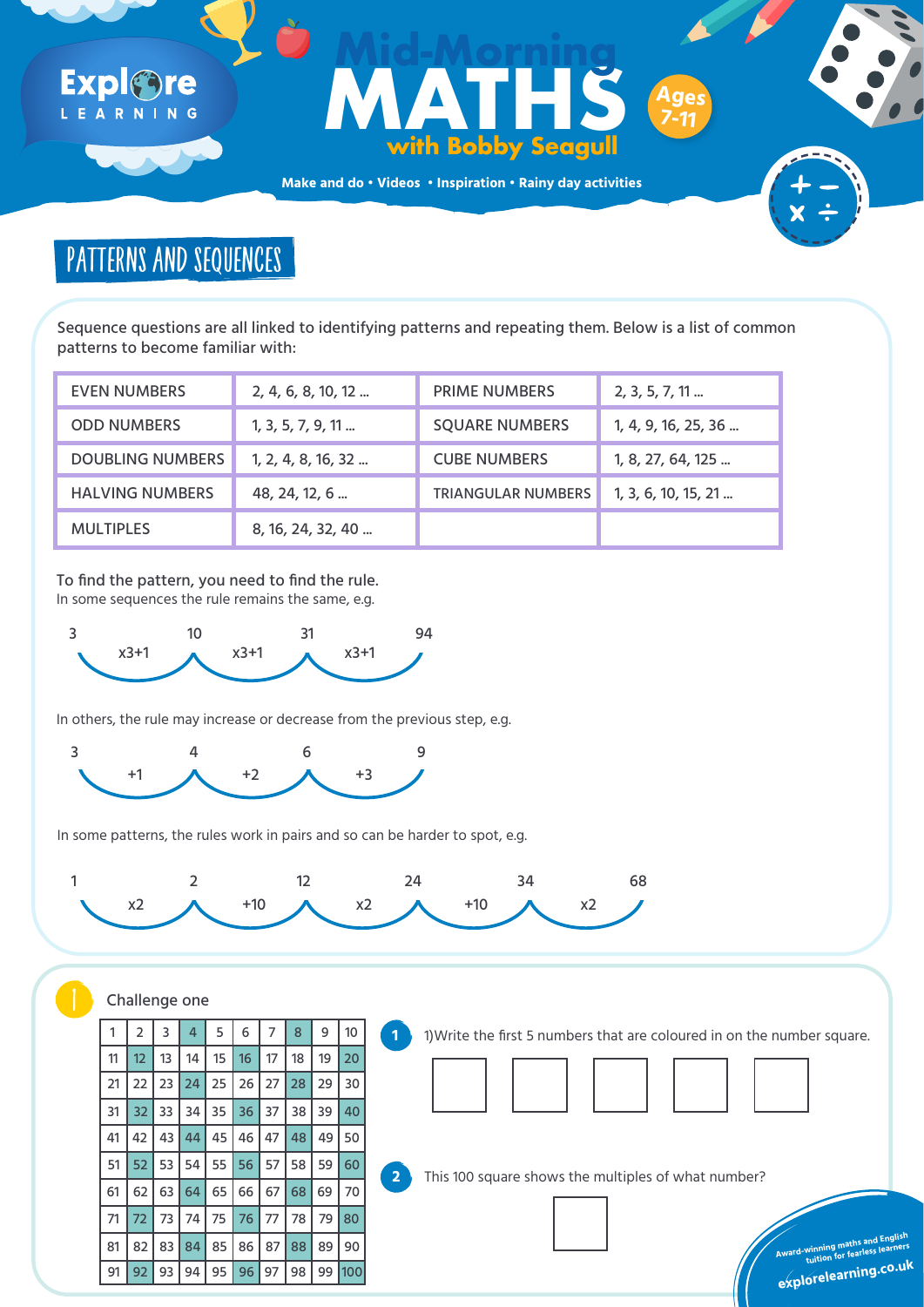**Make and do • Videos • Inspiration • Rainy day activities**

Sequence questions are all linked to identifying patterns and repeating them. Below is a list of common patterns to become familiar with:

| <b>EVEN NUMBERS</b>     | 2, 4, 6, 8, 10, 12 | <b>PRIME NUMBERS</b>      | $2, 3, 5, 7, 11 \dots$ |
|-------------------------|--------------------|---------------------------|------------------------|
| <b>ODD NUMBERS</b>      | 1, 3, 5, 7, 9, 11  | <b>SQUARE NUMBERS</b>     | 1, 4, 9, 16, 25, 36    |
| <b>DOUBLING NUMBERS</b> | 1, 2, 4, 8, 16, 32 | <b>CUBE NUMBERS</b>       | 1, 8, 27, 64, 125      |
| <b>HALVING NUMBERS</b>  | 48, 24, 12, 6      | <b>TRIANGULAR NUMBERS</b> | 1, 3, 6, 10, 15, 21    |
| <b>MULTIPLES</b>        | 8, 16, 24, 32, 40  |                           |                        |

### Expl®re LEARNING

## **Formulation Control Control Control Control Control Control Control Control Control Control Control Control Control Control Control Control Control Control Control Control Control Control Control Control Control Control C with Bobby Seagull Mid-Morning Ages 7-11**

# PATTERNS AND SEQUENCES

**Award-winning maths and English** 

**tuition for fearless learners**



**explorelearning.co.u<sup>k</sup>**

To find the pattern, you need to find the rule. In some sequences the rule remains the same, e.g.



In others, the rule may increase or decrease from the previous step, e.g.



In some patterns, the rules work in pairs and so can be harder to spot, e.g.





|                 |    |  | 2 3 4 5 6 7 8 9 10                              |  |    |     |
|-----------------|----|--|-------------------------------------------------|--|----|-----|
| 11 <sup>1</sup> |    |  | 12 13 14 15 16 17 18 19                         |  |    | 20  |
|                 |    |  | 21   22   23   24   25   26   27   28   29   30 |  |    |     |
|                 |    |  | 31   32   33   34   35   36   37   38   39      |  |    | 40  |
| 41 <sup>1</sup> |    |  | 42   43   44   45   46   47   48   49   50      |  |    |     |
| 51              |    |  | 52 53 54 55 56 57 58 59                         |  |    |     |
| 61              |    |  | 62 63 64 65 66 67 68 69 70                      |  |    |     |
|                 |    |  | 72 73 74 75 76 77 78                            |  | 79 | 80  |
| 81              | 82 |  | 83 84 85 86 87 88                               |  | 89 | 90  |
| 91              |    |  | 92 93 94 95 96 97 98                            |  | 99 | 100 |



**1** 1)Write the first 5 numbers that are coloured in on the number square.

This 100 square shows the multiples of what number?